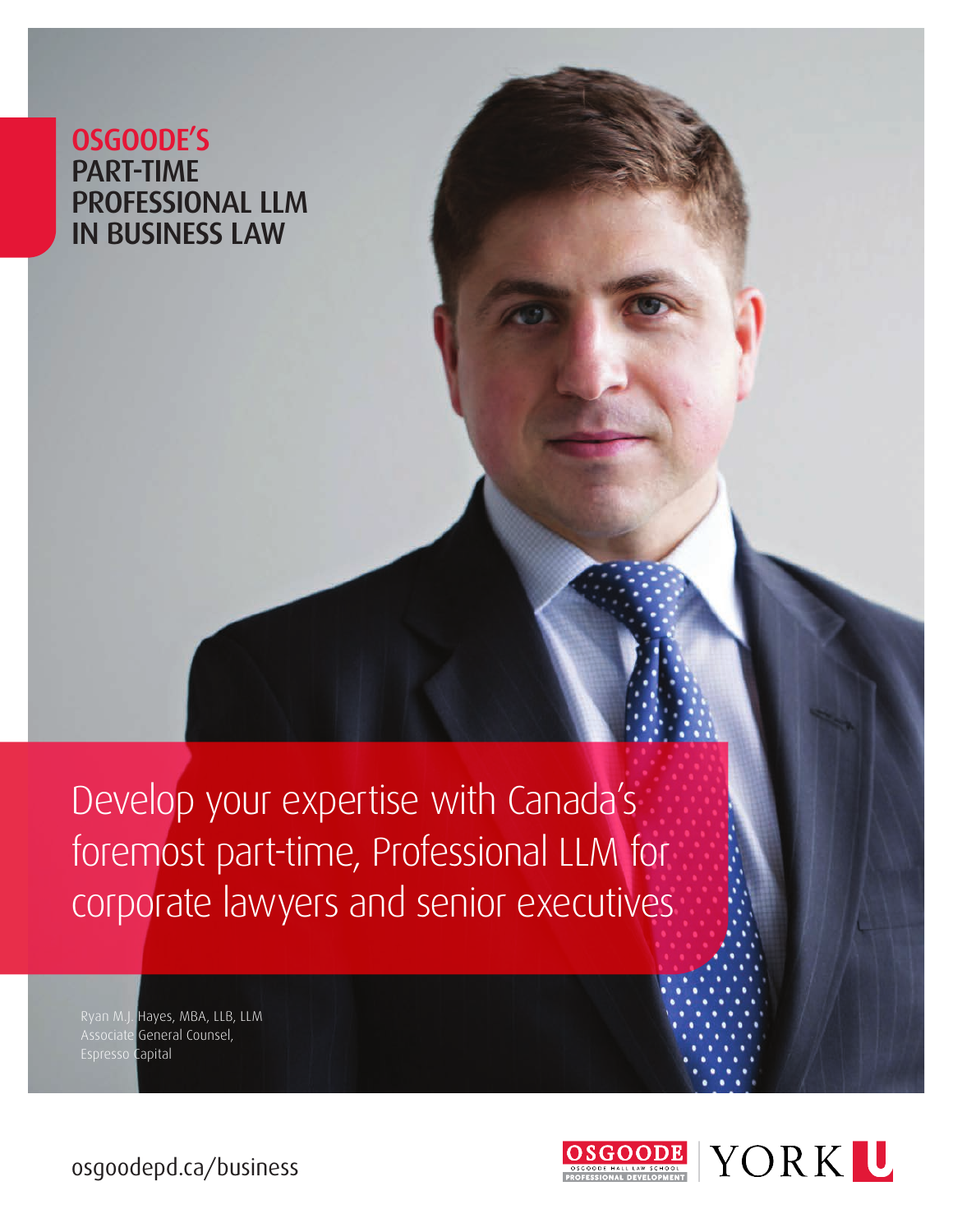OSGOODE'S PART-TIME PROFESSIONAL LLM IN BUSINESS LAW

Develop your expertise with Canada's foremost part-time, Professional LLM for corporate lawyers and senior executives

Ryan M.J. Hayes, MBA, LLB, LLM Associate General Counsel, Espresso Capital



[osgoodepd.ca/business](https://osgoodepd.ca/academic-programs/professional-llms/business-law/?utm_medium=digital&utm_source=brochure&utm_campaign=llm+business+law)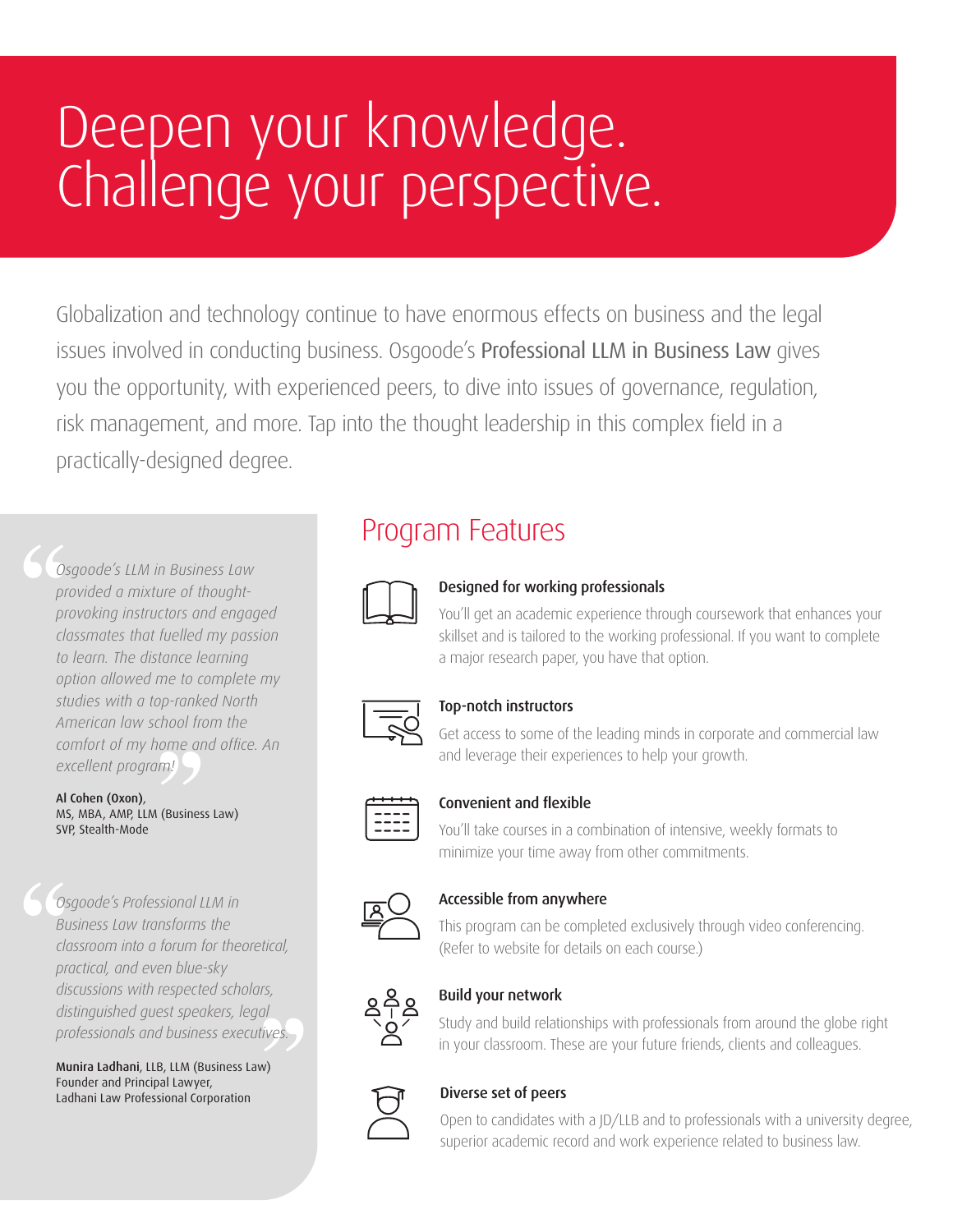# Deepen your knowledge. Challenge your perspective.

Globalization and technology continue to have enormous effects on business and the legal issues involved in conducting business. Osgoode's Professional LLM in Business Law gives you the opportunity, with experienced peers, to dive into issues of governance, regulation, risk management, and more. Tap into the thought leadership in this complex field in a practically-designed degree.

*Osgoode's LLM in Business Law provided a mixture of thoughtprovoking instructors and engaged classmates that fuelled my passion to learn. The distance learning option allowed me to complete my studies with a top-ranked North American law school from the comfort of my home and office. An excellent program!*

Al Cohen (Oxon), MS, MBA, AMP, LLM (Business Law) SVP, Stealth-Mode

*Osgoode's Professional LLM in Business Law transforms the classroom into a forum for theoretical, practical, and even blue-sky discussions with respected scholars, distinguished guest speakers, legal professionals and business executives.*

Munira Ladhani, LLB, LLM (Business Law) Founder and Principal Lawyer, Ladhani Law Professional Corporation

### Program Features



### Designed for working professionals

You'll get an academic experience through coursework that enhances your skillset and is tailored to the working professional. If you want to complete a major research paper, you have that option.



#### Top-notch instructors

Get access to some of the leading minds in corporate and commercial law and leverage their experiences to help your growth.



#### Convenient and flexible

You'll take courses in a combination of intensive, weekly formats to minimize your time away from other commitments.



#### Accessible from anywhere

This program can be completed exclusively through video conferencing. (Refer to website for details on each course.)



#### Build your network

Study and build relationships with professionals from around the globe right in your classroom. These are your future friends, clients and colleagues.



#### Diverse set of peers

Open to candidates with a JD/LLB and to professionals with a university degree, superior academic record and work experience related to business law.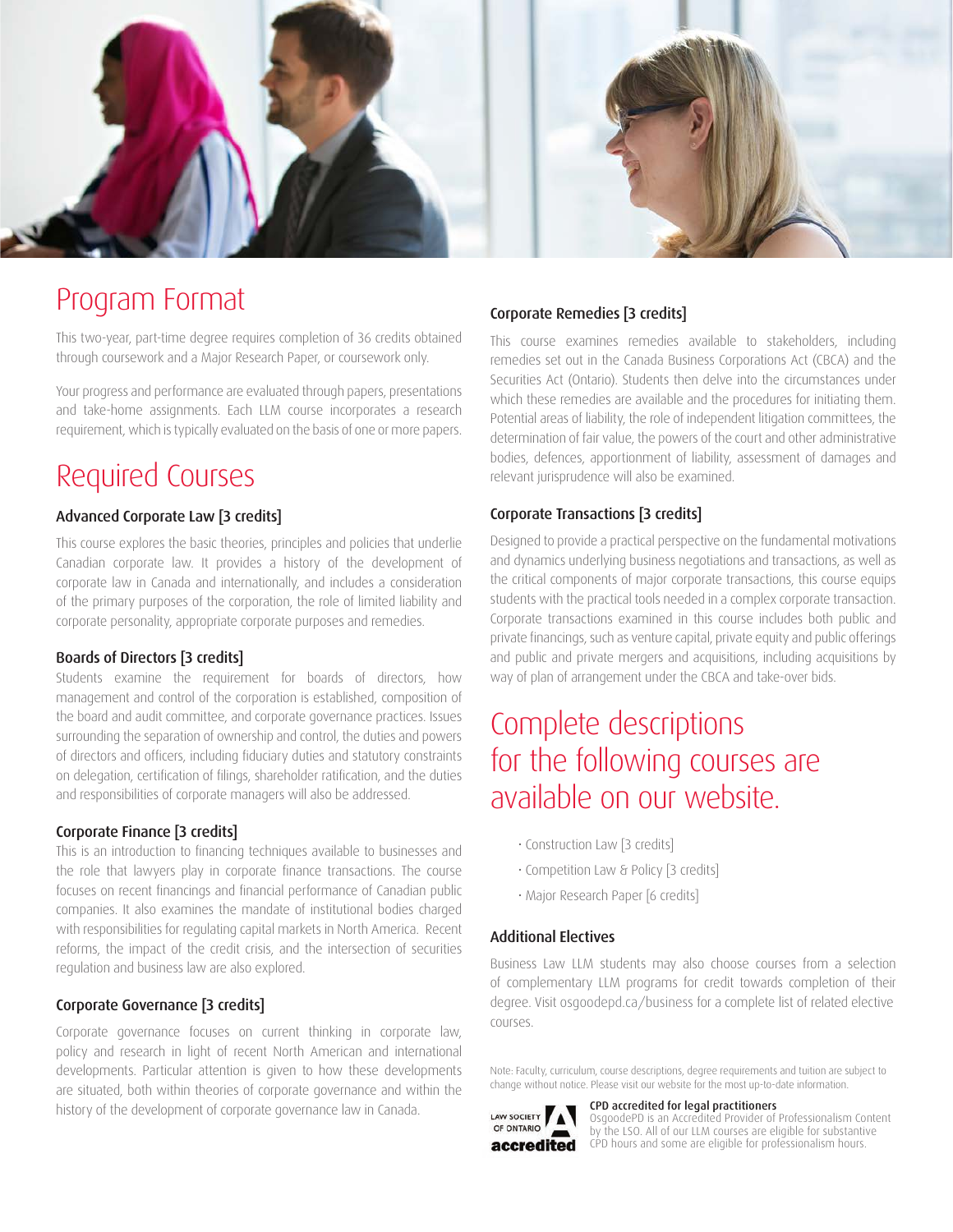

### Program Format

This two-year, part-time degree requires completion of 36 credits obtained through coursework and a Major Research Paper, or coursework only.

Your progress and performance are evaluated through papers, presentations and take-home assignments. Each LLM course incorporates a research requirement, which is typically evaluated on the basis of one or more papers.

### Required Courses

#### Advanced Corporate Law [3 credits]

This course explores the basic theories, principles and policies that underlie Canadian corporate law. It provides a history of the development of corporate law in Canada and internationally, and includes a consideration of the primary purposes of the corporation, the role of limited liability and corporate personality, appropriate corporate purposes and remedies.

#### Boards of Directors [3 credits]

Students examine the requirement for boards of directors, how management and control of the corporation is established, composition of the board and audit committee, and corporate governance practices. Issues surrounding the separation of ownership and control, the duties and powers of directors and officers, including fiduciary duties and statutory constraints on delegation, certification of filings, shareholder ratification, and the duties and responsibilities of corporate managers will also be addressed.

#### Corporate Finance [3 credits]

This is an introduction to financing techniques available to businesses and the role that lawyers play in corporate finance transactions. The course focuses on recent financings and financial performance of Canadian public companies. It also examines the mandate of institutional bodies charged with responsibilities for regulating capital markets in North America. Recent reforms, the impact of the credit crisis, and the intersection of securities regulation and business law are also explored.

#### Corporate Governance [3 credits]

Corporate governance focuses on current thinking in corporate law, policy and research in light of recent North American and international developments. Particular attention is given to how these developments are situated, both within theories of corporate governance and within the history of the development of corporate governance law in Canada.

#### Corporate Remedies [3 credits]

This course examines remedies available to stakeholders, including remedies set out in the Canada Business Corporations Act (CBCA) and the Securities Act (Ontario). Students then delve into the circumstances under which these remedies are available and the procedures for initiating them. Potential areas of liability, the role of independent litigation committees, the determination of fair value, the powers of the court and other administrative bodies, defences, apportionment of liability, assessment of damages and relevant jurisprudence will also be examined.

#### Corporate Transactions [3 credits]

Designed to provide a practical perspective on the fundamental motivations and dynamics underlying business negotiations and transactions, as well as the critical components of major corporate transactions, this course equips students with the practical tools needed in a complex corporate transaction. Corporate transactions examined in this course includes both public and private financings, such as venture capital, private equity and public offerings and public and private mergers and acquisitions, including acquisitions by way of plan of arrangement under the CBCA and take-over bids.

### Complete descriptions for the following courses are available on our website.

- Construction Law [3 credits]
- Competition Law & Policy [3 credits]
- Major Research Paper [6 credits]

#### Additional Electives

Business Law LLM students may also choose courses from a selection of complementary LLM programs for credit towards completion of their degree. Visit [osgoodepd.ca/business](http://www.osgoodepd.ca/graduate-programs-and-courses/specializations/business-law/?utm_medium=digital&utm_source=brochure&utm_campaign=llm+business+law&utm_content=Winter+2019) for a complete list of related elective courses.

Note: Faculty, curriculum, course descriptions, degree requirements and tuition are subject to change without notice. Please visit our website for the most up-to-date information.

#### CPD accredited for legal practitioners



OsgoodePD is an Accredited Provider of Professionalism Content by the LSO. All of our LLM courses are eligible for substantive CPD hours and some are eligible for professionalism hours.